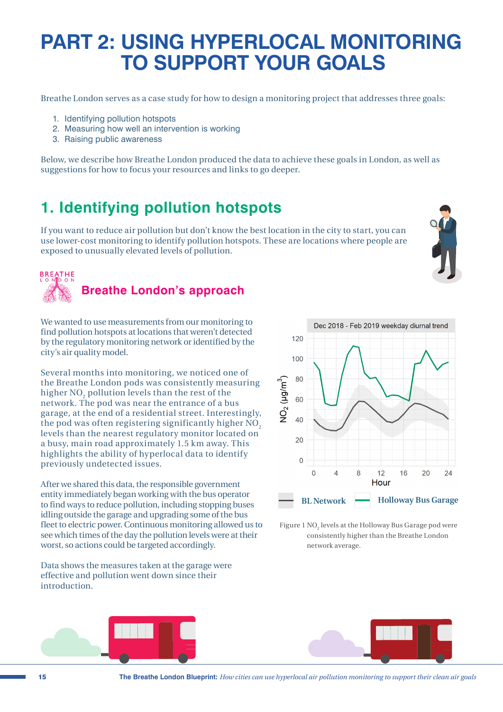## **PART 2: USING HYPERLOCAL MONITORING TO SUPPORT YOUR GOALS**

Breathe London serves as a case study for how to design a monitoring project that addresses three goals:

- 1. Identifying pollution hotspots
- 2. Measuring how well an intervention is working
- 3. Raising public awareness

Below, we describe how Breathe London produced the data to achieve these goals in London, as well as suggestions for how to focus your resources and links to go deeper.

### **1. Identifying pollution hotspots**

If you want to reduce air pollution but don't know the best location in the city to start, you can use lower-cost monitoring to identify pollution hotspots. These are locations where people are exposed to unusually elevated levels of pollution.



We wanted to use measurements from our monitoring to find pollution hotspots at locations that weren't detected by the regulatory monitoring network or identified by the city's air quality model.

Several months into monitoring, we noticed one of the Breathe London pods was consistently measuring higher  $\mathrm{NO}_2$  pollution levels than the rest of the network. The pod was near the entrance of a bus garage, at the end of a residential street. Interestingly, the pod was often registering significantly higher  $\overline{NO}$ , levels than the nearest regulatory monitor located on a busy, main road approximately 1.5 km away. This highlights the ability of hyperlocal data to identify previously undetected issues.

After we shared this data, the responsible government entity immediately began working with the bus operator to find ways to reduce pollution, including stopping buses idling outside the garage and upgrading some of the bus fleet to electric power. Continuous monitoring allowed us to see which times of the day the pollution levels were at their worst, so actions could be targeted accordingly.

Data shows the measures taken at the garage were effective and pollution went down since their introduction.



Figure 1  $\rm NO_2$  levels at the Holloway Bus Garage pod were consistently higher than the Breathe London network average.